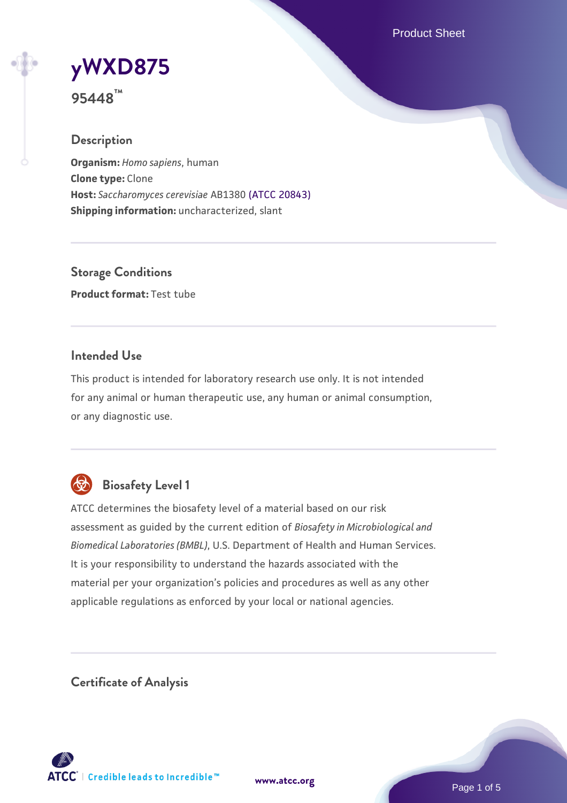Product Sheet

# **[yWXD875](https://www.atcc.org/products/95448)**

**95448™**

# **Description**

**Organism:** *Homo sapiens*, human **Clone type:** Clone **Host:** *Saccharomyces cerevisiae* AB1380 [\(ATCC 20843\)](https://www.atcc.org/products/20843) **Shipping information:** uncharacterized, slant

**Storage Conditions Product format:** Test tube

### **Intended Use**

This product is intended for laboratory research use only. It is not intended for any animal or human therapeutic use, any human or animal consumption, or any diagnostic use.



# **Biosafety Level 1**

ATCC determines the biosafety level of a material based on our risk assessment as guided by the current edition of *Biosafety in Microbiological and Biomedical Laboratories (BMBL)*, U.S. Department of Health and Human Services. It is your responsibility to understand the hazards associated with the material per your organization's policies and procedures as well as any other applicable regulations as enforced by your local or national agencies.

**Certificate of Analysis**

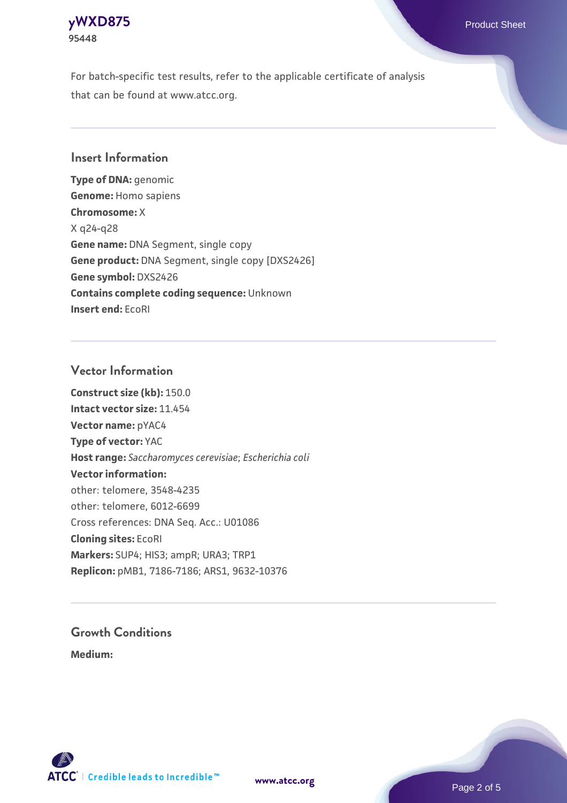

For batch-specific test results, refer to the applicable certificate of analysis that can be found at www.atcc.org.

#### **Insert Information**

**Type of DNA:** genomic **Genome:** Homo sapiens **Chromosome:** X X q24-q28 **Gene name:** DNA Segment, single copy **Gene product:** DNA Segment, single copy [DXS2426] **Gene symbol:** DXS2426 **Contains complete coding sequence:** Unknown **Insert end:** EcoRI

#### **Vector Information**

**Construct size (kb):** 150.0 **Intact vector size:** 11.454 **Vector name:** pYAC4 **Type of vector:** YAC **Host range:** *Saccharomyces cerevisiae*; *Escherichia coli* **Vector information:** other: telomere, 3548-4235 other: telomere, 6012-6699 Cross references: DNA Seq. Acc.: U01086 **Cloning sites:** EcoRI **Markers:** SUP4; HIS3; ampR; URA3; TRP1 **Replicon:** pMB1, 7186-7186; ARS1, 9632-10376

# **Growth Conditions**

**Medium:** 



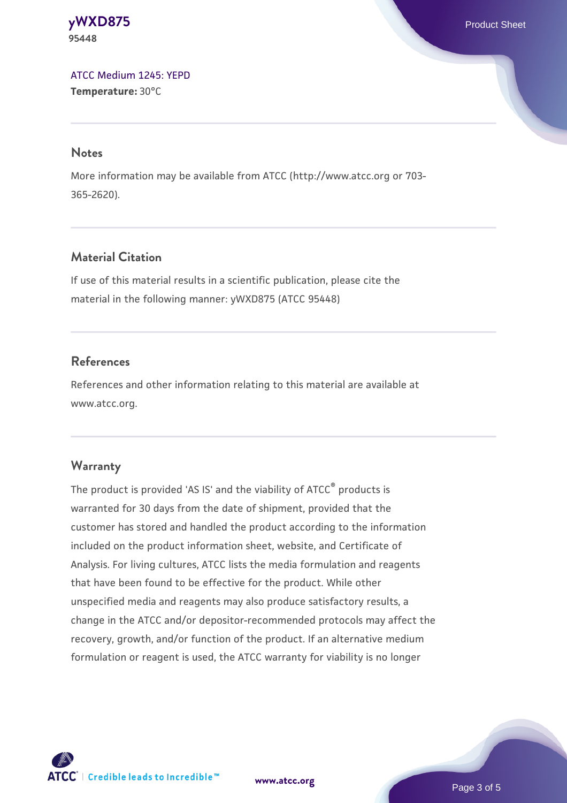**[yWXD875](https://www.atcc.org/products/95448)** Product Sheet **95448**

[ATCC Medium 1245: YEPD](https://www.atcc.org/-/media/product-assets/documents/microbial-media-formulations/1/2/4/5/atcc-medium-1245.pdf?rev=705ca55d1b6f490a808a965d5c072196) **Temperature:** 30°C

#### **Notes**

More information may be available from ATCC (http://www.atcc.org or 703- 365-2620).

### **Material Citation**

If use of this material results in a scientific publication, please cite the material in the following manner: yWXD875 (ATCC 95448)

#### **References**

References and other information relating to this material are available at www.atcc.org.

#### **Warranty**

The product is provided 'AS IS' and the viability of ATCC® products is warranted for 30 days from the date of shipment, provided that the customer has stored and handled the product according to the information included on the product information sheet, website, and Certificate of Analysis. For living cultures, ATCC lists the media formulation and reagents that have been found to be effective for the product. While other unspecified media and reagents may also produce satisfactory results, a change in the ATCC and/or depositor-recommended protocols may affect the recovery, growth, and/or function of the product. If an alternative medium formulation or reagent is used, the ATCC warranty for viability is no longer



**[www.atcc.org](http://www.atcc.org)**

Page 3 of 5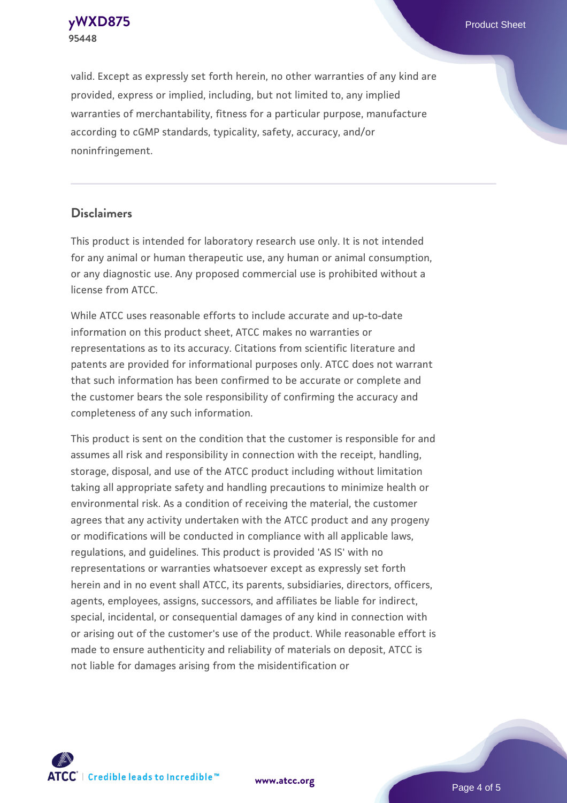**[yWXD875](https://www.atcc.org/products/95448)** Product Sheet **95448**

valid. Except as expressly set forth herein, no other warranties of any kind are provided, express or implied, including, but not limited to, any implied warranties of merchantability, fitness for a particular purpose, manufacture according to cGMP standards, typicality, safety, accuracy, and/or noninfringement.

#### **Disclaimers**

This product is intended for laboratory research use only. It is not intended for any animal or human therapeutic use, any human or animal consumption, or any diagnostic use. Any proposed commercial use is prohibited without a license from ATCC.

While ATCC uses reasonable efforts to include accurate and up-to-date information on this product sheet, ATCC makes no warranties or representations as to its accuracy. Citations from scientific literature and patents are provided for informational purposes only. ATCC does not warrant that such information has been confirmed to be accurate or complete and the customer bears the sole responsibility of confirming the accuracy and completeness of any such information.

This product is sent on the condition that the customer is responsible for and assumes all risk and responsibility in connection with the receipt, handling, storage, disposal, and use of the ATCC product including without limitation taking all appropriate safety and handling precautions to minimize health or environmental risk. As a condition of receiving the material, the customer agrees that any activity undertaken with the ATCC product and any progeny or modifications will be conducted in compliance with all applicable laws, regulations, and guidelines. This product is provided 'AS IS' with no representations or warranties whatsoever except as expressly set forth herein and in no event shall ATCC, its parents, subsidiaries, directors, officers, agents, employees, assigns, successors, and affiliates be liable for indirect, special, incidental, or consequential damages of any kind in connection with or arising out of the customer's use of the product. While reasonable effort is made to ensure authenticity and reliability of materials on deposit, ATCC is not liable for damages arising from the misidentification or



**[www.atcc.org](http://www.atcc.org)**

Page 4 of 5